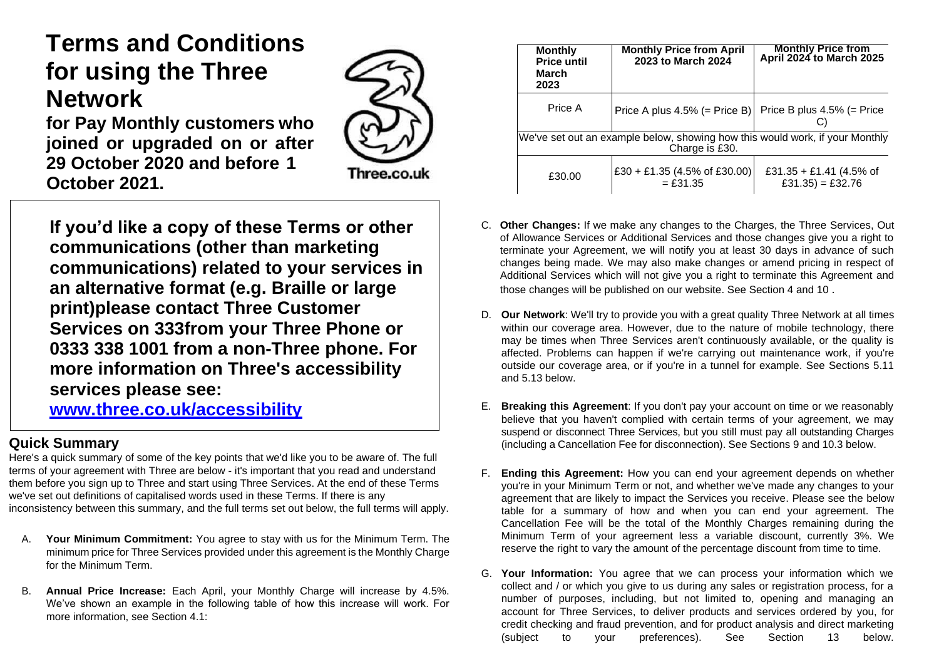# **Terms and Conditions for using the Three Network**

**for Pay Monthly customers who joined or upgraded on or after 29 October 2020 and before 1 October 2021.**

Three.co.uk

**If you'd like a copy of these Terms or other communications (other than marketing communications) related to your services in an alternative format (e.g. Braille or large print)please contact Three Customer Services on 333from your Three Phone or 0333 338 1001 from a non-Three phone. For more information on Three's accessibility services please see:** 

**[www.three.co.uk/accessibility](http://www.three.co.uk/accessibility)**

# **Quick Summary**

Here's a quick summary of some of the key points that we'd like you to be aware of. The full terms of your agreement with Three are below - it's important that you read and understand them before you sign up to Three and start using Three Services. At the end of these Terms we've set out definitions of capitalised words used in these Terms. If there is any inconsistency between this summary, and the full terms set out below, the full terms will apply.

- A. **Your Minimum Commitment:** You agree to stay with us for the Minimum Term. The minimum price for Three Services provided under this agreement is the Monthly Charge for the Minimum Term.
- B. **Annual Price Increase:** Each April, your Monthly Charge will increase by 4.5%. We've shown an example in the following table of how this increase will work. For more information, see Section 4.1:

| <b>Monthly</b><br><b>Price until</b><br>March<br>2023                                          | <b>Monthly Price from April</b><br>2023 to March 2024 | <b>Monthly Price from</b><br><b>April 2024 to March 2025</b> |  |  |
|------------------------------------------------------------------------------------------------|-------------------------------------------------------|--------------------------------------------------------------|--|--|
| Price A                                                                                        | Price A plus $4.5\%$ (= Price B)                      | Price B plus $4.5\%$ (= Price                                |  |  |
| We've set out an example below, showing how this would work, if your Monthly<br>Charge is £30. |                                                       |                                                              |  |  |
| £30.00                                                                                         | £30 + £1.35 (4.5% of £30.00)<br>$=$ £31.35            | £31.35 + £1.41 (4.5% of<br>$£31.35) = £32.76$                |  |  |

- C. **Other Changes:** If we make any changes to the Charges, the Three Services, Out of Allowance Services or Additional Services and those changes give you a right to terminate your Agreement, we will notify you at least 30 days in advance of such changes being made. We may also make changes or amend pricing in respect of Additional Services which will not give you a right to terminate this Agreement and those changes will be published on our website. See Section 4 and 10 .
- D. **Our Network**: We'll try to provide you with a great quality Three Network at all times within our coverage area. However, due to the nature of mobile technology, there may be times when Three Services aren't continuously available, or the quality is affected. Problems can happen if we're carrying out maintenance work, if you're outside our coverage area, or if you're in a tunnel for example. See Sections 5.11 and 5.13 below.
- E. **Breaking this Agreement**: If you don't pay your account on time or we reasonably believe that you haven't complied with certain terms of your agreement, we may suspend or disconnect Three Services, but you still must pay all outstanding Charges (including a Cancellation Fee for disconnection). See Sections 9 and 10.3 below.
- F. **Ending this Agreement:** How you can end your agreement depends on whether you're in your Minimum Term or not, and whether we've made any changes to your agreement that are likely to impact the Services you receive. Please see the below table for a summary of how and when you can end your agreement. The Cancellation Fee will be the total of the Monthly Charges remaining during the Minimum Term of your agreement less a variable discount, currently 3%. We reserve the right to vary the amount of the percentage discount from time to time.
- G. **Your Information:** You agree that we can process your information which we collect and / or which you give to us during any sales or registration process, for a number of purposes, including, but not limited to, opening and managing an account for Three Services, to deliver products and services ordered by you, for credit checking and fraud prevention, and for product analysis and direct marketing (subject to your preferences). See Section 13 below.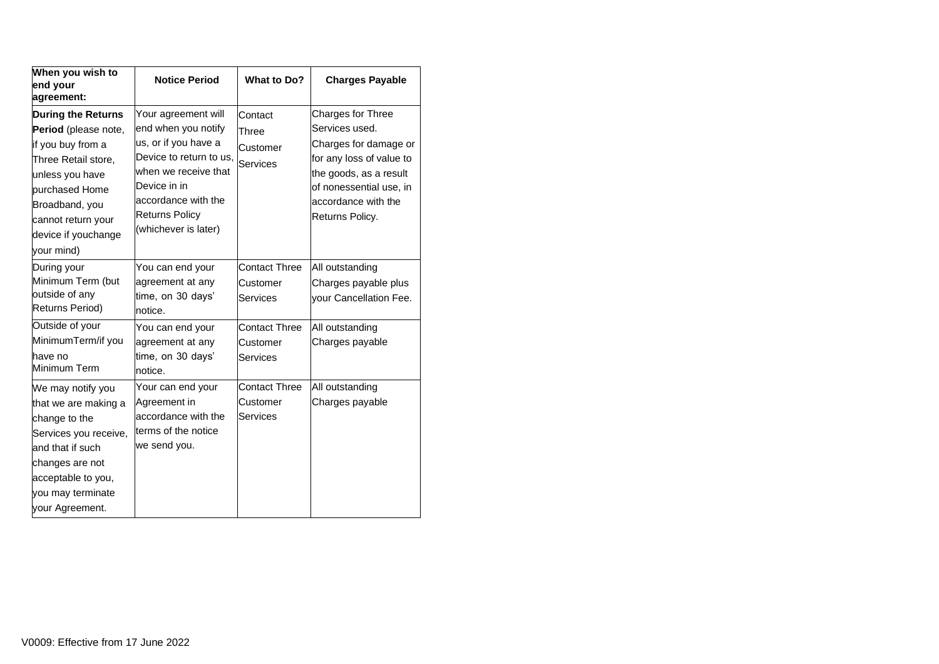| When you wish to<br>end your<br>agreement:                                                                                                                                                                      | <b>Notice Period</b>                                                                                                                                                                                          | What to Do?                                                                      | <b>Charges Payable</b>                                                                                                                                                                  |
|-----------------------------------------------------------------------------------------------------------------------------------------------------------------------------------------------------------------|---------------------------------------------------------------------------------------------------------------------------------------------------------------------------------------------------------------|----------------------------------------------------------------------------------|-----------------------------------------------------------------------------------------------------------------------------------------------------------------------------------------|
| <b>During the Returns</b><br>Period (please note,<br>if you buy from a<br>Three Retail store,<br>unless you have<br>purchased Home<br>Broadband, you<br>cannot return your<br>device if youchange<br>your mind) | Your agreement will<br>end when you notify<br>us, or if you have a<br>Device to return to us,<br>when we receive that<br>Device in in<br>accordance with the<br><b>Returns Policy</b><br>(whichever is later) | Contact<br>Three<br>Customer<br>Services                                         | Charges for Three<br>Services used.<br>Charges for damage or<br>for any loss of value to<br>the goods, as a result<br>of nonessential use, in<br>accordance with the<br>Returns Policy. |
| During your<br>Minimum Term (but<br>outside of any<br>Returns Period)<br>Outside of your<br>MinimumTerm/if you                                                                                                  | You can end your<br>agreement at any<br>time, on 30 days'<br>notice.<br>You can end your<br>agreement at any                                                                                                  | <b>Contact Three</b><br>Customer<br>Services<br><b>Contact Three</b><br>Customer | All outstanding<br>Charges payable plus<br>your Cancellation Fee.<br>All outstanding<br>Charges payable                                                                                 |
| have no<br>Minimum Term                                                                                                                                                                                         | time, on 30 days'<br>notice.                                                                                                                                                                                  | Services                                                                         |                                                                                                                                                                                         |
| We may notify you<br>that we are making a<br>change to the<br>Services you receive,<br>and that if such<br>changes are not<br>acceptable to you,<br>you may terminate<br>your Agreement.                        | Your can end your<br>Agreement in<br>accordance with the<br>terms of the notice<br>we send you.                                                                                                               | <b>Contact Three</b><br>Customer<br>Services                                     | All outstanding<br>Charges payable                                                                                                                                                      |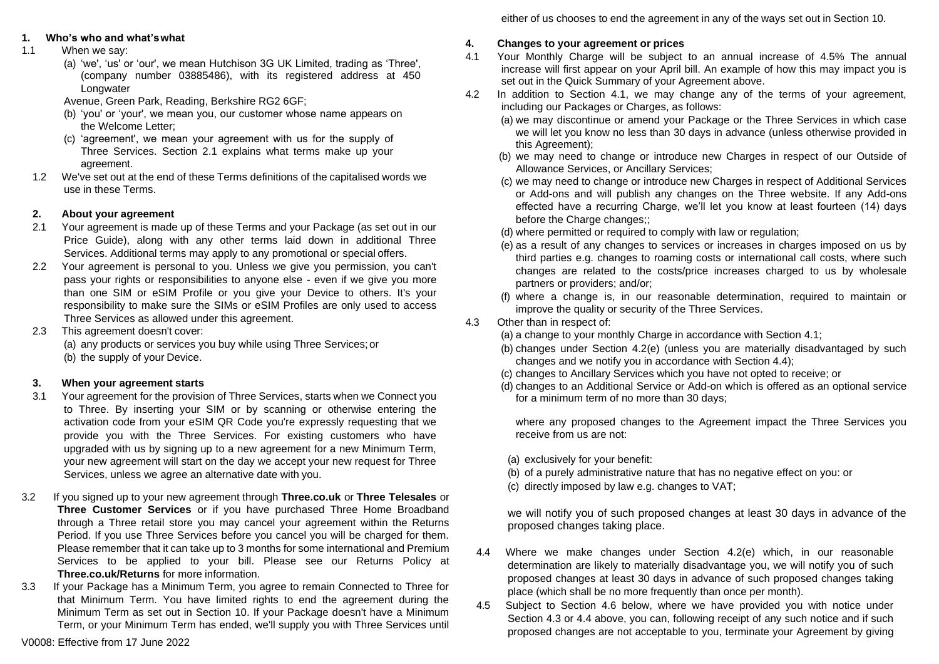either of us chooses to end the agreement in any of the ways set out in Section 10.

# **1. Who's who and what'swhat**

- 1.1 When we say:
	- (a) 'we', 'us' or 'our', we mean Hutchison 3G UK Limited, trading as 'Three', (company number 03885486), with its registered address at 450 Longwater

Avenue, Green Park, Reading, Berkshire RG2 6GF;

- (b) 'you' or 'your', we mean you, our customer whose name appears on the Welcome Letter;
- (c) 'agreement', we mean your agreement with us for the supply of Three Services. Section 2.1 explains what terms make up your agreement.
- 1.2 We've set out at the end of these Terms definitions of the capitalised words we use in these Terms.

# **2. About your agreement**

- 2.1 Your agreement is made up of these Terms and your Package (as set out in our Price Guide), along with any other terms laid down in additional Three Services. Additional terms may apply to any promotional or special offers.
- 2.2 Your agreement is personal to you. Unless we give you permission, you can't pass your rights or responsibilities to anyone else - even if we give you more than one SIM or eSIM Profile or you give your Device to others. It's your responsibility to make sure the SIMs or eSIM Profiles are only used to access Three Services as allowed under this agreement.
- 2.3 This agreement doesn't cover: (a) any products or services you buy while using Three Services;or (b) the supply of your Device.

# **3. When your agreement starts**

- 3.1 Your agreement for the provision of Three Services, starts when we Connect you to Three. By inserting your SIM or by scanning or otherwise entering the activation code from your eSIM QR Code you're expressly requesting that we provide you with the Three Services. For existing customers who have upgraded with us by signing up to a new agreement for a new Minimum Term, your new agreement will start on the day we accept your new request for Three Services, unless we agree an alternative date with you.
- 3.2 If you signed up to your new agreement through **Three.co.uk** or **Three Telesales** or **Three Customer Services** or if you have purchased Three Home Broadband through a Three retail store you may cancel your agreement within the Returns Period. If you use Three Services before you cancel you will be charged for them. Please remember that it can take up to 3 months for some international and Premium Services to be applied to your bill. Please see our Returns Policy at **Three.co.uk/Returns** for more information.
- 3.3 If your Package has a Minimum Term, you agree to remain Connected to Three for that Minimum Term. You have limited rights to end the agreement during the Minimum Term as set out in Section 10. If your Package doesn't have a Minimum Term, or your Minimum Term has ended, we'll supply you with Three Services until

**4. Changes to your agreement or prices**

- 4.1 Your Monthly Charge will be subject to an annual increase of 4.5% The annual increase will first appear on your April bill. An example of how this may impact you is set out in the Quick Summary of your Agreement above.
- 4.2 In addition to Section 4.1, we may change any of the terms of your agreement, including our Packages or Charges, as follows:
	- (a) we may discontinue or amend your Package or the Three Services in which case we will let you know no less than 30 days in advance (unless otherwise provided in this Agreement);
	- (b) we may need to change or introduce new Charges in respect of our Outside of Allowance Services, or Ancillary Services;
	- (c) we may need to change or introduce new Charges in respect of Additional Services or Add-ons and will publish any changes on the Three website. If any Add-ons effected have a recurring Charge, we'll let you know at least fourteen (14) days before the Charge changes;;
	- (d) where permitted or required to comply with law or regulation;
	- (e) as a result of any changes to services or increases in charges imposed on us by third parties e.g. changes to roaming costs or international call costs, where such changes are related to the costs/price increases charged to us by wholesale partners or providers; and/or;
	- (f) where a change is, in our reasonable determination, required to maintain or improve the quality or security of the Three Services.
- 4.3 Other than in respect of:
	- (a) a change to your monthly Charge in accordance with Section 4.1;
	- (b) changes under Section 4.2(e) (unless you are materially disadvantaged by such changes and we notify you in accordance with Section 4.4);
	- (c) changes to Ancillary Services which you have not opted to receive; or
	- (d) changes to an Additional Service or Add-on which is offered as an optional service for a minimum term of no more than 30 days;

where any proposed changes to the Agreement impact the Three Services you receive from us are not:

(a) exclusively for your benefit:

- (b) of a purely administrative nature that has no negative effect on you: or
- (c) directly imposed by law e.g. changes to VAT;

we will notify you of such proposed changes at least 30 days in advance of the proposed changes taking place.

- 4.4 Where we make changes under Section 4.2(e) which, in our reasonable determination are likely to materially disadvantage you, we will notify you of such proposed changes at least 30 days in advance of such proposed changes taking place (which shall be no more frequently than once per month).
- 4.5 Subject to Section 4.6 below, where we have provided you with notice under Section 4.3 or 4.4 above, you can, following receipt of any such notice and if such proposed changes are not acceptable to you, terminate your Agreement by giving

V0008: Effective from 17 June 2022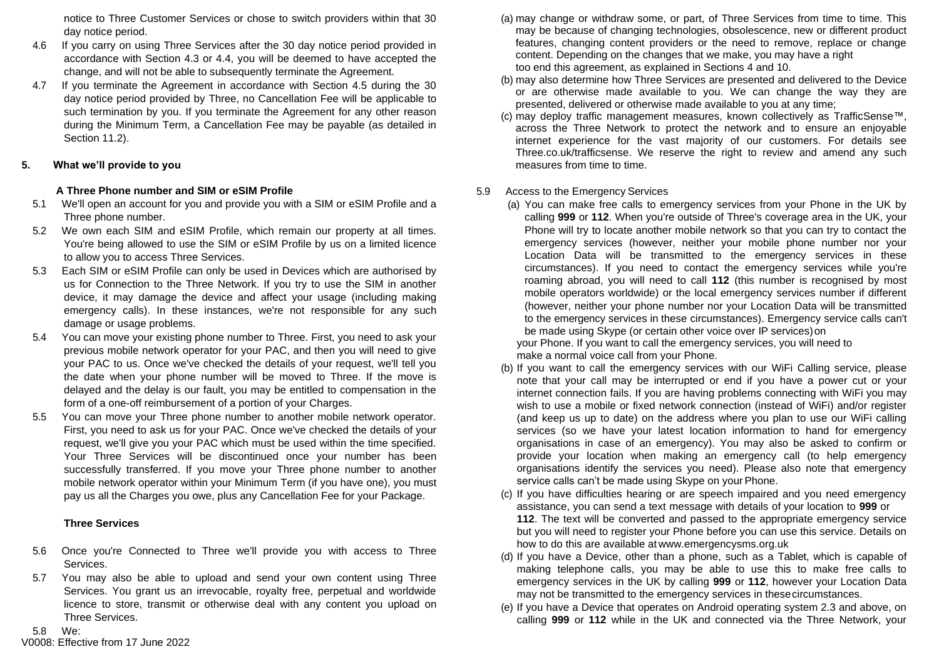notice to Three Customer Services or chose to switch providers within that 30 day notice period.

- 4.6 If you carry on using Three Services after the 30 day notice period provided in accordance with Section 4.3 or 4.4, you will be deemed to have accepted the change, and will not be able to subsequently terminate the Agreement.
- 4.7 If you terminate the Agreement in accordance with Section 4.5 during the 30 day notice period provided by Three, no Cancellation Fee will be applicable to such termination by you. If you terminate the Agreement for any other reason during the Minimum Term, a Cancellation Fee may be payable (as detailed in Section 11.2).

# **5. What we'll provide to you**

# **A Three Phone number and SIM or eSIM Profile**

- 5.1 We'll open an account for you and provide you with a SIM or eSIM Profile and a Three phone number.
- 5.2 We own each SIM and eSIM Profile, which remain our property at all times. You're being allowed to use the SIM or eSIM Profile by us on a limited licence to allow you to access Three Services.
- 5.3 Each SIM or eSIM Profile can only be used in Devices which are authorised by us for Connection to the Three Network. If you try to use the SIM in another device, it may damage the device and affect your usage (including making emergency calls). In these instances, we're not responsible for any such damage or usage problems.
- 5.4 You can move your existing phone number to Three. First, you need to ask your previous mobile network operator for your PAC, and then you will need to give your PAC to us. Once we've checked the details of your request, we'll tell you the date when your phone number will be moved to Three. If the move is delayed and the delay is our fault, you may be entitled to compensation in the form of a one-off reimbursement of a portion of your Charges.
- 5.5 You can move your Three phone number to another mobile network operator. First, you need to ask us for your PAC. Once we've checked the details of your request, we'll give you your PAC which must be used within the time specified. Your Three Services will be discontinued once your number has been successfully transferred. If you move your Three phone number to another mobile network operator within your Minimum Term (if you have one), you must pay us all the Charges you owe, plus any Cancellation Fee for your Package.

# **Three Services**

- 5.6 Once you're Connected to Three we'll provide you with access to Three Services.
- 5.7 You may also be able to upload and send your own content using Three Services. You grant us an irrevocable, royalty free, perpetual and worldwide licence to store, transmit or otherwise deal with any content you upload on Three Services.

V0008: Effective from 17 June 2022 5.8 We:

- (a) may change or withdraw some, or part, of Three Services from time to time. This may be because of changing technologies, obsolescence, new or different product features, changing content providers or the need to remove, replace or change content. Depending on the changes that we make, you may have a right too end this agreement, as explained in Sections 4 and 10.
- (b) may also determine how Three Services are presented and delivered to the Device or are otherwise made available to you. We can change the way they are presented, delivered or otherwise made available to you at any time;
- (c) may deploy traffic management measures, known collectively as TrafficSense™, across the Three Network to protect the network and to ensure an enjoyable internet experience for the vast majority of our customers. For details see Three.co.uk/trafficsense. We reserve the right to review and amend any such measures from time to time.

# 5.9 Access to the Emergency Services

- (a) You can make free calls to emergency services from your Phone in the UK by calling **999** or **112**. When you're outside of Three's coverage area in the UK, your Phone will try to locate another mobile network so that you can try to contact the emergency services (however, neither your mobile phone number nor your Location Data will be transmitted to the emergency services in these circumstances). If you need to contact the emergency services while you're roaming abroad, you will need to call **112** (this number is recognised by most mobile operators worldwide) or the local emergency services number if different (however, neither your phone number nor your Location Data will be transmitted to the emergency services in these circumstances). Emergency service calls can't be made using Skype (or certain other voice over IP services)on your Phone. If you want to call the emergency services, you will need to make a normal voice call from your Phone.
- (b) If you want to call the emergency services with our WiFi Calling service, please note that your call may be interrupted or end if you have a power cut or your internet connection fails. If you are having problems connecting with WiFi you may wish to use a mobile or fixed network connection (instead of WiFi) and/or register (and keep us up to date) on the address where you plan to use our WiFi calling services (so we have your latest location information to hand for emergency organisations in case of an emergency). You may also be asked to confirm or provide your location when making an emergency call (to help emergency organisations identify the services you need). Please also note that emergency service calls can't be made using Skype on your Phone.
- (c) If you have difficulties hearing or are speech impaired and you need emergency assistance, you can send a text message with details of your location to **999** or **112**. The text will be converted and passed to the appropriate emergency service but you will need to register your Phone before you can use this service. Details on how to do this are available [at](http://www.emergencysms.org.uk/) [www.emergencysms.org.uk](http://www.emergencysms.org.uk/)
- (d) If you have a Device, other than a phone, such as a Tablet, which is capable of making telephone calls, you may be able to use this to make free calls to emergency services in the UK by calling **999** or **112**, however your Location Data may not be transmitted to the emergency services in thesecircumstances.
- (e) If you have a Device that operates on Android operating system 2.3 and above, on calling **999** or **112** while in the UK and connected via the Three Network, your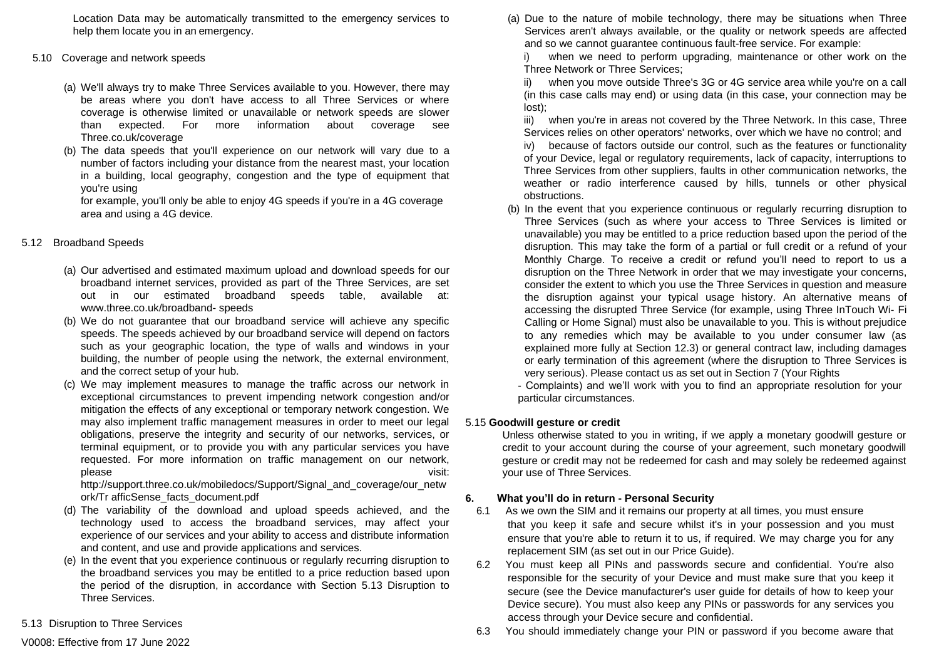Location Data may be automatically transmitted to the emergency services to help them locate you in an emergency.

- 5.10 Coverage and network speeds
	- (a) We'll always try to make Three Services available to you. However, there may be areas where you don't have access to all Three Services or where coverage is otherwise limited or unavailable or network speeds are slower than expected. For more information about coverage see Three.co.uk/coverage
	- (b) The data speeds that you'll experience on our network will vary due to a number of factors including your distance from the nearest mast, your location in a building, local geography, congestion and the type of equipment that you're using

for example, you'll only be able to enjoy 4G speeds if you're in a 4G coverage area and using a 4G device.

# 5.12 Broadband Speeds

- (a) Our advertised and estimated maximum upload and download speeds for our broadband internet services, provided as part of the Three Services, are set out in our estimated broadband speeds table, available at: [www.three.co.uk/broadband-](http://www.three.co.uk/broadband-speeds) [speeds](http://www.three.co.uk/broadband-speeds)
- (b) We do not guarantee that our broadband service will achieve any specific speeds. The speeds achieved by our broadband service will depend on factors such as your geographic location, the type of walls and windows in your building, the number of people using the network, the external environment, and the correct setup of your hub.
- (c) We may implement measures to manage the traffic across our network in exceptional circumstances to prevent impending network congestion and/or mitigation the effects of any exceptional or temporary network congestion. We may also implement traffic management measures in order to meet our legal obligations, preserve the integrity and security of our networks, services, or terminal equipment, or to provide you with any particular services you have requested. For more information on traffic management on our network, please visit:

[http://support.three.co.uk/mobiledocs/Support/Signal\\_and\\_coverage/our\\_netw](http://support.three.co.uk/mobiledocs/Support/Signal_and_coverage/our_network/TrafficSense_facts_document.pdf) [ork/Tr](http://support.three.co.uk/mobiledocs/Support/Signal_and_coverage/our_network/TrafficSense_facts_document.pdf) [afficSense\\_facts\\_document.pdf](http://support.three.co.uk/mobiledocs/Support/Signal_and_coverage/our_network/TrafficSense_facts_document.pdf)

- (d) The variability of the download and upload speeds achieved, and the technology used to access the broadband services, may affect your experience of our services and your ability to access and distribute information and content, and use and provide applications and services.
- (e) In the event that you experience continuous or regularly recurring disruption to the broadband services you may be entitled to a price reduction based upon the period of the disruption, in accordance with Section 5.13 Disruption to Three Services.
- 5.13 Disruption to Three Services

(a) Due to the nature of mobile technology, there may be situations when Three Services aren't always available, or the quality or network speeds are affected and so we cannot guarantee continuous fault-free service. For example:

when we need to perform upgrading, maintenance or other work on the Three Network or Three Services;

when you move outside Three's 3G or 4G service area while you're on a call (in this case calls may end) or using data (in this case, your connection may be lost);

iii) when you're in areas not covered by the Three Network. In this case, Three Services relies on other operators' networks, over which we have no control; and

iv) because of factors outside our control, such as the features or functionality of your Device, legal or regulatory requirements, lack of capacity, interruptions to Three Services from other suppliers, faults in other communication networks, the weather or radio interference caused by hills, tunnels or other physical obstructions.

(b) In the event that you experience continuous or regularly recurring disruption to Three Services (such as where your access to Three Services is limited or unavailable) you may be entitled to a price reduction based upon the period of the disruption. This may take the form of a partial or full credit or a refund of your Monthly Charge. To receive a credit or refund you'll need to report to us a disruption on the Three Network in order that we may investigate your concerns, consider the extent to which you use the Three Services in question and measure the disruption against your typical usage history. An alternative means of accessing the disrupted Three Service (for example, using Three InTouch Wi- Fi Calling or Home Signal) must also be unavailable to you. This is without prejudice to any remedies which may be available to you under consumer law (as explained more fully at Section 12.3) or general contract law, including damages or early termination of this agreement (where the disruption to Three Services is very serious). Please contact us as set out in Section 7 (Your Rights

- Complaints) and we'll work with you to find an appropriate resolution for your particular circumstances.

# 5.15 **Goodwill gesture or credit**

Unless otherwise stated to you in writing, if we apply a monetary goodwill gesture or credit to your account during the course of your agreement, such monetary goodwill gesture or credit may not be redeemed for cash and may solely be redeemed against your use of Three Services.

# **6. What you'll do in return - Personal Security**

- 6.1 As we own the SIM and it remains our property at all times, you must ensure that you keep it safe and secure whilst it's in your possession and you must ensure that you're able to return it to us, if required. We may charge you for any replacement SIM (as set out in our Price Guide).
- 6.2 You must keep all PINs and passwords secure and confidential. You're also responsible for the security of your Device and must make sure that you keep it secure (see the Device manufacturer's user guide for details of how to keep your Device secure). You must also keep any PINs or passwords for any services you access through your Device secure and confidential.
- 6.3 You should immediately change your PIN or password if you become aware that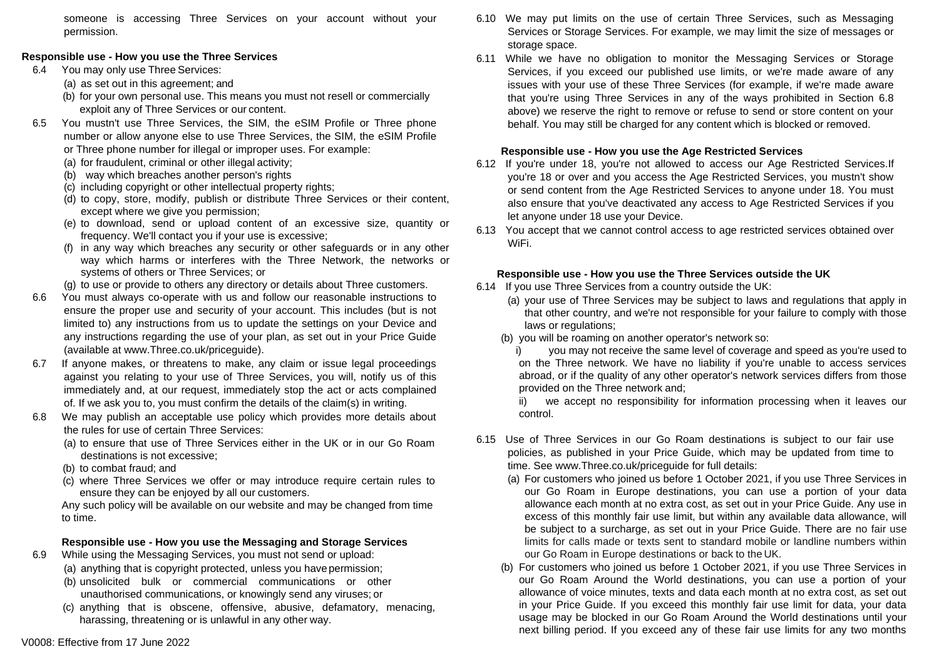someone is accessing Three Services on your account without your permission.

# **Responsible use - How you use the Three Services**

- 6.4 You may only use Three Services:
	- (a) as set out in this agreement; and
	- (b) for your own personal use. This means you must not resell or commercially exploit any of Three Services or our content.
- 6.5 You mustn't use Three Services, the SIM, the eSIM Profile or Three phone number or allow anyone else to use Three Services, the SIM, the eSIM Profile or Three phone number for illegal or improper uses. For example:
	- (a) for fraudulent, criminal or other illegal activity;
	- (b) way which breaches another person's rights
	- (c) including copyright or other intellectual property rights;
	- (d) to copy, store, modify, publish or distribute Three Services or their content, except where we give you permission;
	- (e) to download, send or upload content of an excessive size, quantity or frequency. We'll contact you if your use is excessive;
	- (f) in any way which breaches any security or other safeguards or in any other way which harms or interferes with the Three Network, the networks or systems of others or Three Services; or
	- (g) to use or provide to others any directory or details about Three customers.
- 6.6 You must always co-operate with us and follow our reasonable instructions to ensure the proper use and security of your account. This includes (but is not limited to) any instructions from us to update the settings on your Device and any instructions regarding the use of your plan, as set out in your Price Guide (available at [www.Three.co.uk/priceguide\).](http://www.three.co.uk/priceguide)
- 6.7 If anyone makes, or threatens to make, any claim or issue legal proceedings against you relating to your use of Three Services, you will, notify us of this immediately and, at our request, immediately stop the act or acts complained of. If we ask you to, you must confirm the details of the claim(s) in writing.
- 6.8 We may publish an acceptable use policy which provides more details about the rules for use of certain Three Services:
	- (a) to ensure that use of Three Services either in the UK or in our Go Roam destinations is not excessive;
	- (b) to combat fraud; and
	- (c) where Three Services we offer or may introduce require certain rules to ensure they can be enjoyed by all our customers.

Any such policy will be available on our website and may be changed from time to time.

# **Responsible use - How you use the Messaging and Storage Services**

- 6.9 While using the Messaging Services, you must not send or upload:
	- (a) anything that is copyright protected, unless you have permission;
	- (b) unsolicited bulk or commercial communications or other unauthorised communications, or knowingly send any viruses; or
	- (c) anything that is obscene, offensive, abusive, defamatory, menacing, harassing, threatening or is unlawful in any other way.
- 6.10 We may put limits on the use of certain Three Services, such as Messaging Services or Storage Services. For example, we may limit the size of messages or storage space.
- 6.11 While we have no obligation to monitor the Messaging Services or Storage Services, if you exceed our published use limits, or we're made aware of any issues with your use of these Three Services (for example, if we're made aware that you're using Three Services in any of the ways prohibited in Section 6.8 above) we reserve the right to remove or refuse to send or store content on your behalf. You may still be charged for any content which is blocked or removed.

# **Responsible use - How you use the Age Restricted Services**

- 6.12 If you're under 18, you're not allowed to access our Age Restricted Services.If you're 18 or over and you access the Age Restricted Services, you mustn't show or send content from the Age Restricted Services to anyone under 18. You must also ensure that you've deactivated any access to Age Restricted Services if you let anyone under 18 use your Device.
- 6.13 You accept that we cannot control access to age restricted services obtained over WiFi.

# **Responsible use - How you use the Three Services outside the UK**

- 6.14 If you use Three Services from a country outside the UK:
	- (a) your use of Three Services may be subject to laws and regulations that apply in that other country, and we're not responsible for your failure to comply with those laws or regulations;
	- (b) you will be roaming on another operator's network so:
		- i) you may not receive the same level of coverage and speed as you're used to on the Three network. We have no liability if you're unable to access services abroad, or if the quality of any other operator's network services differs from those provided on the Three network and;

ii) we accept no responsibility for information processing when it leaves our control.

- 6.15 Use of Three Services in our Go Roam destinations is subject to our fair use policies, as published in your Price Guide, which may be updated from time to time. See [www.Three.co.uk/priceguide](http://www.three.co.uk/priceguide) for full details:
	- (a) For customers who joined us before 1 October 2021, if you use Three Services in our Go Roam in Europe destinations, you can use a portion of your data allowance each month at no extra cost, as set out in your Price Guide. Any use in excess of this monthly fair use limit, but within any available data allowance, will be subject to a surcharge, as set out in your Price Guide. There are no fair use limits for calls made or texts sent to standard mobile or landline numbers within our Go Roam in Europe destinations or back to the UK.
	- (b) For customers who joined us before 1 October 2021, if you use Three Services in our Go Roam Around the World destinations, you can use a portion of your allowance of voice minutes, texts and data each month at no extra cost, as set out in your Price Guide. If you exceed this monthly fair use limit for data, your data usage may be blocked in our Go Roam Around the World destinations until your next billing period. If you exceed any of these fair use limits for any two months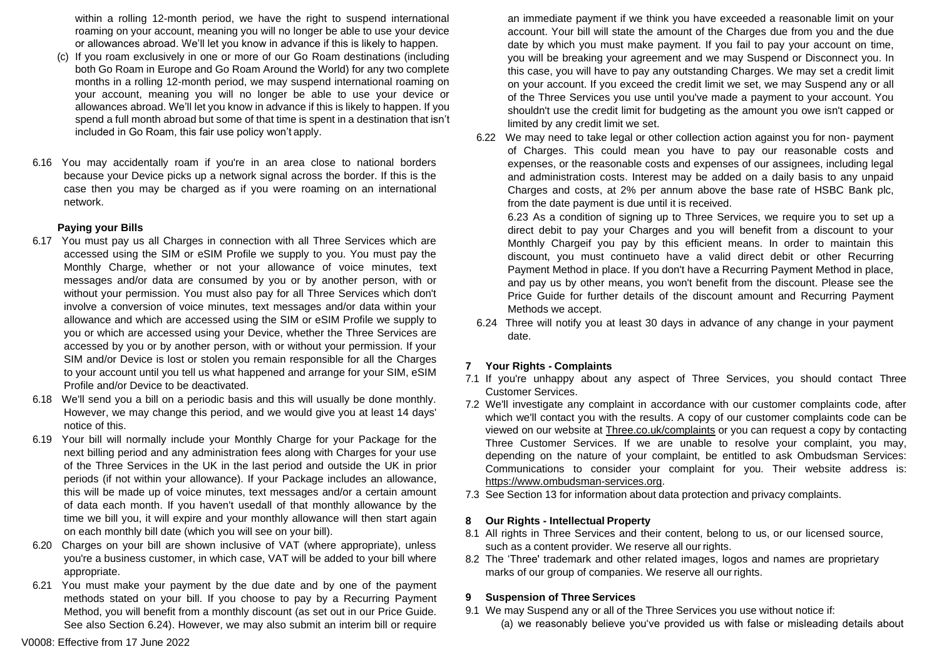within a rolling 12-month period, we have the right to suspend international roaming on your account, meaning you will no longer be able to use your device or allowances abroad. We'll let you know in advance if this is likely to happen.

- (c) If you roam exclusively in one or more of our Go Roam destinations (including both Go Roam in Europe and Go Roam Around the World) for any two complete months in a rolling 12-month period, we may suspend international roaming on your account, meaning you will no longer be able to use your device or allowances abroad. We'll let you know in advance if this is likely to happen. If you spend a full month abroad but some of that time is spent in a destination that isn't included in Go Roam, this fair use policy won't apply.
- 6.16 You may accidentally roam if you're in an area close to national borders because your Device picks up a network signal across the border. If this is the case then you may be charged as if you were roaming on an international network.

### **Paying your Bills**

- 6.17 You must pay us all Charges in connection with all Three Services which are accessed using the SIM or eSIM Profile we supply to you. You must pay the Monthly Charge, whether or not your allowance of voice minutes, text messages and/or data are consumed by you or by another person, with or without your permission. You must also pay for all Three Services which don't involve a conversion of voice minutes, text messages and/or data within your allowance and which are accessed using the SIM or eSIM Profile we supply to you or which are accessed using your Device, whether the Three Services are accessed by you or by another person, with or without your permission. If your SIM and/or Device is lost or stolen you remain responsible for all the Charges to your account until you tell us what happened and arrange for your SIM, eSIM Profile and/or Device to be deactivated.
- 6.18 We'll send you a bill on a periodic basis and this will usually be done monthly. However, we may change this period, and we would give you at least 14 days' notice of this.
- 6.19 Your bill will normally include your Monthly Charge for your Package for the next billing period and any administration fees along with Charges for your use of the Three Services in the UK in the last period and outside the UK in prior periods (if not within your allowance). If your Package includes an allowance, this will be made up of voice minutes, text messages and/or a certain amount of data each month. If you haven't usedall of that monthly allowance by the time we bill you, it will expire and your monthly allowance will then start again on each monthly bill date (which you will see on your bill).
- 6.20 Charges on your bill are shown inclusive of VAT (where appropriate), unless you're a business customer, in which case, VAT will be added to your bill where appropriate.
- 6.21 You must make your payment by the due date and by one of the payment methods stated on your bill. If you choose to pay by a Recurring Payment Method, you will benefit from a monthly discount (as set out in our Price Guide. See also Section 6.24). However, we may also submit an interim bill or require

an immediate payment if we think you have exceeded a reasonable limit on your account. Your bill will state the amount of the Charges due from you and the due date by which you must make payment. If you fail to pay your account on time, you will be breaking your agreement and we may Suspend or Disconnect you. In this case, you will have to pay any outstanding Charges. We may set a credit limit on your account. If you exceed the credit limit we set, we may Suspend any or all of the Three Services you use until you've made a payment to your account. You shouldn't use the credit limit for budgeting as the amount you owe isn't capped or limited by any credit limit we set.

6.22 We may need to take legal or other collection action against you for non- payment of Charges. This could mean you have to pay our reasonable costs and expenses, or the reasonable costs and expenses of our assignees, including legal and administration costs. Interest may be added on a daily basis to any unpaid Charges and costs, at 2% per annum above the base rate of HSBC Bank plc, from the date payment is due until it is received.

6.23 As a condition of signing up to Three Services, we require you to set up a direct debit to pay your Charges and you will benefit from a discount to your Monthly Chargeif you pay by this efficient means. In order to maintain this discount, you must continueto have a valid direct debit or other Recurring Payment Method in place. If you don't have a Recurring Payment Method in place, and pay us by other means, you won't benefit from the discount. Please see the Price Guide for further details of the discount amount and Recurring Payment Methods we accept.

6.24 Three will notify you at least 30 days in advance of any change in your payment date.

# **7 Your Rights - Complaints**

- 7.1 If you're unhappy about any aspect of Three Services, you should contact Three Customer Services.
- 7.2 We'll investigate any complaint in accordance with our customer complaints code, after which we'll contact you with the results. A copy of our customer complaints code can be viewed on our website at Three.co.uk/complaints or you can request a copy by contacting Three Customer Services. If we are unable to resolve your complaint, you may, depending on the nature of your complaint, be entitled to ask Ombudsman Services: Communications to consider your complaint for you. Their website address is: https://www.ombudsma[n-services.org.](https://www.ombudsman-services.org/)
- 7.3 See Section 13 for information about data protection and privacy complaints.

# **8 Our Rights - Intellectual Property**

- 8.1 All rights in Three Services and their content, belong to us, or our licensed source, such as a content provider. We reserve all our rights.
- 8.2 The 'Three' trademark and other related images, logos and names are proprietary marks of our group of companies. We reserve all our rights.

# **9 Suspension of Three Services**

- 9.1 We may Suspend any or all of the Three Services you use without notice if:
	- (a) we reasonably believe you've provided us with false or misleading details about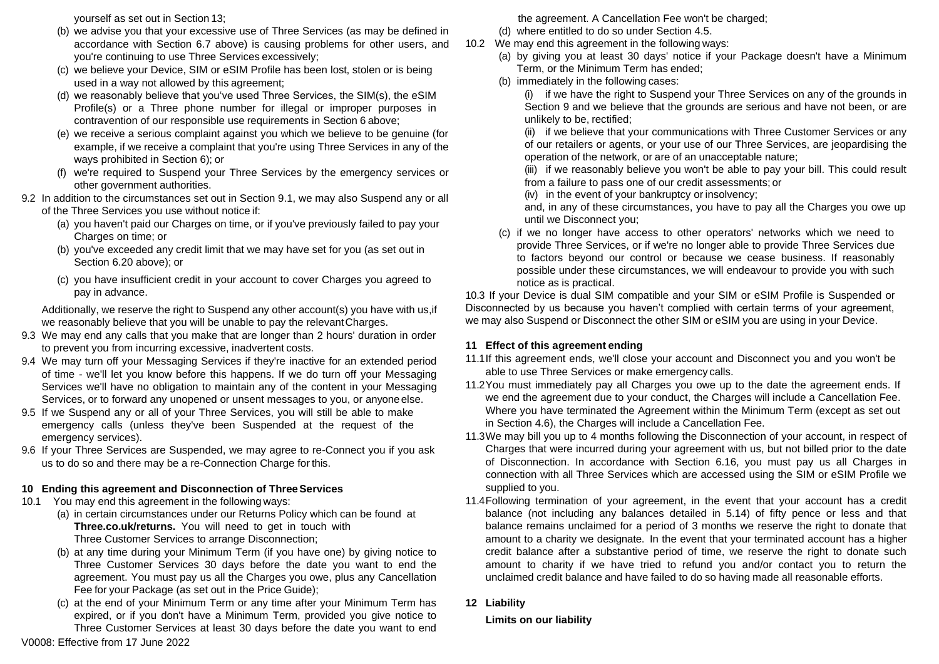yourself as set out in Section 13;

- (b) we advise you that your excessive use of Three Services (as may be defined in accordance with Section 6.7 above) is causing problems for other users, and you're continuing to use Three Services excessively;
- (c) we believe your Device, SIM or eSIM Profile has been lost, stolen or is being used in a way not allowed by this agreement;
- (d) we reasonably believe that you've used Three Services, the SIM(s), the eSIM Profile(s) or a Three phone number for illegal or improper purposes in contravention of our responsible use requirements in Section 6 above;
- (e) we receive a serious complaint against you which we believe to be genuine (for example, if we receive a complaint that you're using Three Services in any of the ways prohibited in Section 6); or
- (f) we're required to Suspend your Three Services by the emergency services or other government authorities.
- 9.2 In addition to the circumstances set out in Section 9.1, we may also Suspend any or all of the Three Services you use without notice if:
	- (a) you haven't paid our Charges on time, or if you've previously failed to pay your Charges on time; or
	- (b) you've exceeded any credit limit that we may have set for you (as set out in Section 6.20 above); or
	- (c) you have insufficient credit in your account to cover Charges you agreed to pay in advance.

Additionally, we reserve the right to Suspend any other account(s) you have with us,if we reasonably believe that you will be unable to pay the relevantCharges.

- 9.3 We may end any calls that you make that are longer than 2 hours' duration in order to prevent you from incurring excessive, inadvertent costs.
- 9.4 We may turn off your Messaging Services if they're inactive for an extended period of time - we'll let you know before this happens. If we do turn off your Messaging Services we'll have no obligation to maintain any of the content in your Messaging Services, or to forward any unopened or unsent messages to you, or anyone else.
- 9.5 If we Suspend any or all of your Three Services, you will still be able to make emergency calls (unless they've been Suspended at the request of the emergency services).
- 9.6 If your Three Services are Suspended, we may agree to re-Connect you if you ask us to do so and there may be a re-Connection Charge for this.

# **10 Ending this agreement and Disconnection of ThreeServices**

- 10.1 You may end this agreement in the following ways:
	- (a) in certain circumstances under our Returns Policy which can be found at **Three.co.uk/returns.** You will need to get in touch with Three Customer Services to arrange Disconnection;
	- (b) at any time during your Minimum Term (if you have one) by giving notice to Three Customer Services 30 days before the date you want to end the agreement. You must pay us all the Charges you owe, plus any Cancellation Fee for your Package (as set out in the Price Guide);
	- (c) at the end of your Minimum Term or any time after your Minimum Term has expired, or if you don't have a Minimum Term, provided you give notice to Three Customer Services at least 30 days before the date you want to end

the agreement. A Cancellation Fee won't be charged;

- (d) where entitled to do so under Section 4.5.
- 10.2 We may end this agreement in the following ways:
	- (a) by giving you at least 30 days' notice if your Package doesn't have a Minimum Term, or the Minimum Term has ended;
	- (b) immediately in the following cases:

(i) if we have the right to Suspend your Three Services on any of the grounds in Section 9 and we believe that the grounds are serious and have not been, or are unlikely to be, rectified;

(ii) if we believe that your communications with Three Customer Services or any of our retailers or agents, or your use of our Three Services, are jeopardising the operation of the network, or are of an unacceptable nature;

(iii) if we reasonably believe you won't be able to pay your bill. This could result from a failure to pass one of our credit assessments; or

(iv) in the event of your bankruptcy or insolvency;

and, in any of these circumstances, you have to pay all the Charges you owe up until we Disconnect you;

(c) if we no longer have access to other operators' networks which we need to provide Three Services, or if we're no longer able to provide Three Services due to factors beyond our control or because we cease business. If reasonably possible under these circumstances, we will endeavour to provide you with such notice as is practical.

10.3 If your Device is dual SIM compatible and your SIM or eSIM Profile is Suspended or Disconnected by us because you haven't complied with certain terms of your agreement, we may also Suspend or Disconnect the other SIM or eSIM you are using in your Device.

# **11 Effect of this agreement ending**

- 11.1If this agreement ends, we'll close your account and Disconnect you and you won't be able to use Three Services or make emergency calls.
- 11.2You must immediately pay all Charges you owe up to the date the agreement ends. If we end the agreement due to your conduct, the Charges will include a Cancellation Fee. Where you have terminated the Agreement within the Minimum Term (except as set out in Section 4.6), the Charges will include a Cancellation Fee.
- 11.3We may bill you up to 4 months following the Disconnection of your account, in respect of Charges that were incurred during your agreement with us, but not billed prior to the date of Disconnection. In accordance with Section 6.16, you must pay us all Charges in connection with all Three Services which are accessed using the SIM or eSIM Profile we supplied to you.
- 11.4Following termination of your agreement, in the event that your account has a credit balance (not including any balances detailed in 5.14) of fifty pence or less and that balance remains unclaimed for a period of 3 months we reserve the right to donate that amount to a charity we designate. In the event that your terminated account has a higher credit balance after a substantive period of time, we reserve the right to donate such amount to charity if we have tried to refund you and/or contact you to return the unclaimed credit balance and have failed to do so having made all reasonable efforts.
- **12 Liability**

**Limits on our liability**

V0008: Effective from 17 June 2022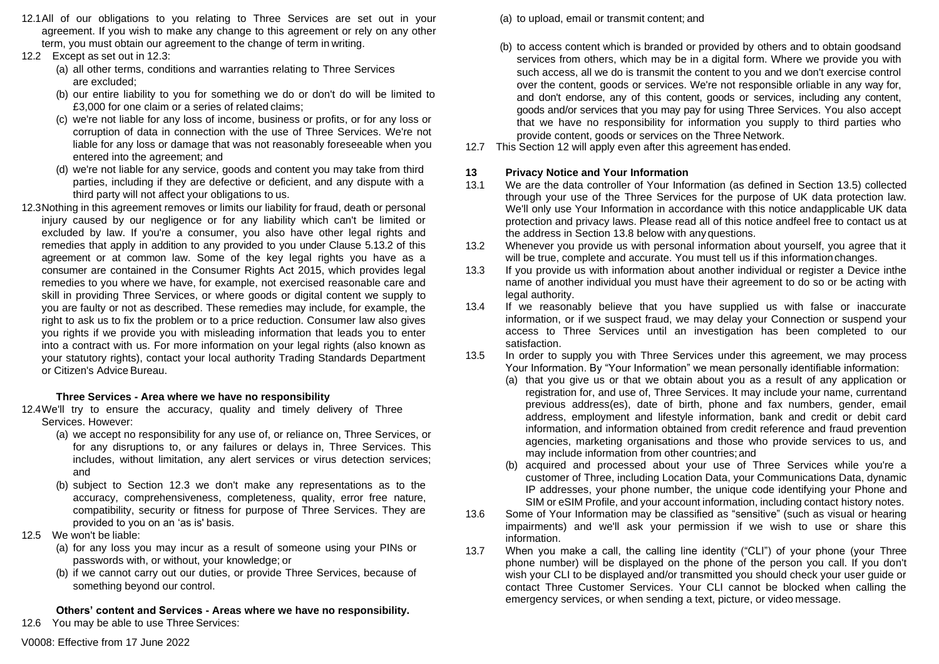- 12.1All of our obligations to you relating to Three Services are set out in your agreement. If you wish to make any change to this agreement or rely on any other term, you must obtain our agreement to the change of term in writing.
- 12.2 Except as set out in 12.3:
	- (a) all other terms, conditions and warranties relating to Three Services are excluded;
	- (b) our entire liability to you for something we do or don't do will be limited to £3,000 for one claim or a series of related claims;
	- (c) we're not liable for any loss of income, business or profits, or for any loss or corruption of data in connection with the use of Three Services. We're not liable for any loss or damage that was not reasonably foreseeable when you entered into the agreement; and
	- (d) we're not liable for any service, goods and content you may take from third parties, including if they are defective or deficient, and any dispute with a third party will not affect your obligations to us.
- 12.3Nothing in this agreement removes or limits our liability for fraud, death or personal injury caused by our negligence or for any liability which can't be limited or excluded by law. If you're a consumer, you also have other legal rights and remedies that apply in addition to any provided to you under Clause 5.13.2 of this agreement or at common law. Some of the key legal rights you have as a consumer are contained in the Consumer Rights Act 2015, which provides legal remedies to you where we have, for example, not exercised reasonable care and skill in providing Three Services, or where goods or digital content we supply to you are faulty or not as described. These remedies may include, for example, the right to ask us to fix the problem or to a price reduction. Consumer law also gives you rights if we provide you with misleading information that leads you to enter into a contract with us. For more information on your legal rights (also known as your statutory rights), contact your local authority Trading Standards Department or Citizen's Advice Bureau.

# **Three Services - Area where we have no responsibility**

12.4We'll try to ensure the accuracy, quality and timely delivery of Three Services. However:

- (a) we accept no responsibility for any use of, or reliance on, Three Services, or for any disruptions to, or any failures or delays in, Three Services. This includes, without limitation, any alert services or virus detection services; and
- (b) subject to Section 12.3 we don't make any representations as to the accuracy, comprehensiveness, completeness, quality, error free nature, compatibility, security or fitness for purpose of Three Services. They are provided to you on an 'as is' basis.
- 12.5 We won't be liable:
	- (a) for any loss you may incur as a result of someone using your PINs or passwords with, or without, your knowledge; or
	- (b) if we cannot carry out our duties, or provide Three Services, because of something beyond our control.

# **Others' content and Services - Areas where we have no responsibility.**

12.6 You may be able to use Three Services:

- (a) to upload, email or transmit content; and
- (b) to access content which is branded or provided by others and to obtain goodsand services from others, which may be in a digital form. Where we provide you with such access, all we do is transmit the content to you and we don't exercise control over the content, goods or services. We're not responsible orliable in any way for, and don't endorse, any of this content, goods or services, including any content, goods and/or services that you may pay for using Three Services. You also accept that we have no responsibility for information you supply to third parties who provide content, goods or services on the Three Network.
- 12.7 This Section 12 will apply even after this agreement has ended.

# **13 Privacy Notice and Your Information**

- 13.1 We are the data controller of Your Information (as defined in Section 13.5) collected through your use of the Three Services for the purpose of UK data protection law. We'll only use Your Information in accordance with this notice andapplicable UK data protection and privacy laws. Please read all of this notice andfeel free to contact us at the address in Section 13.8 below with anyquestions.
- 13.2 Whenever you provide us with personal information about yourself, you agree that it will be true, complete and accurate. You must tell us if this informationchanges.
- 13.3 If you provide us with information about another individual or register a Device inthe name of another individual you must have their agreement to do so or be acting with legal authority.
- 13.4 If we reasonably believe that you have supplied us with false or inaccurate information, or if we suspect fraud, we may delay your Connection or suspend your access to Three Services until an investigation has been completed to our satisfaction.
- 13.5 In order to supply you with Three Services under this agreement, we may process Your Information. By "Your Information" we mean personally identifiable information:
	- (a) that you give us or that we obtain about you as a result of any application or registration for, and use of, Three Services. It may include your name, currentand previous address(es), date of birth, phone and fax numbers, gender, email address, employment and lifestyle information, bank and credit or debit card information, and information obtained from credit reference and fraud prevention agencies, marketing organisations and those who provide services to us, and may include information from other countries;and
	- (b) acquired and processed about your use of Three Services while you're a customer of Three, including Location Data, your Communications Data, dynamic IP addresses, your phone number, the unique code identifying your Phone and SIM or eSIM Profile, and your account information, including contact history notes.
- 13.6 Some of Your Information may be classified as "sensitive" (such as visual or hearing impairments) and we'll ask your permission if we wish to use or share this information.
- 13.7 When you make a call, the calling line identity ("CLI") of your phone (your Three phone number) will be displayed on the phone of the person you call. If you don't wish your CLI to be displayed and/or transmitted you should check your user guide or contact Three Customer Services. Your CLI cannot be blocked when calling the emergency services, or when sending a text, picture, or video message.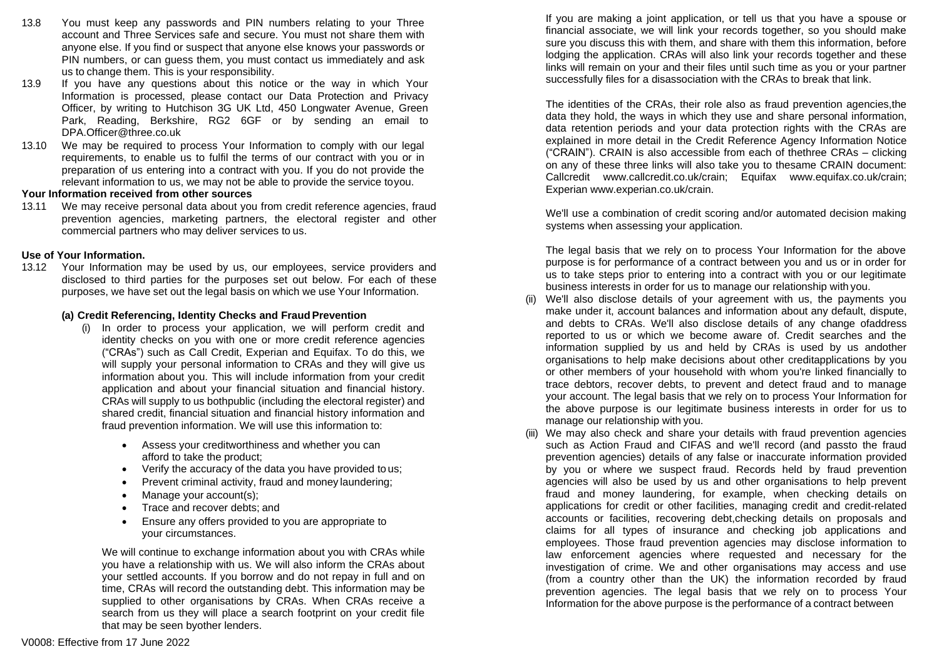- 13.8 You must keep any passwords and PIN numbers relating to your Three account and Three Services safe and secure. You must not share them with anyone else. If you find or suspect that anyone else knows your passwords or PIN numbers, or can guess them, you must contact us immediately and ask us to change them. This is your responsibility.
- 13.9 If you have any questions about this notice or the way in which Your Information is processed, please contact our Data Protection and Privacy Officer, by writing to Hutchison 3G UK Ltd, 450 Longwater Avenue, Green Park, Reading, Berkshire, RG2 6GF or by sending an email to DPA.Offi[cer@three.co.uk](mailto:DPA.Officer@three.co.uk)
- 13.10 We may be required to process Your Information to comply with our legal requirements, to enable us to fulfil the terms of our contract with you or in preparation of us entering into a contract with you. If you do not provide the relevant information to us, we may not be able to provide the service toyou.

#### **Your Information received from other sources**

13.11 We may receive personal data about you from credit reference agencies, fraud prevention agencies, marketing partners, the electoral register and other commercial partners who may deliver services to us.

#### **Use of Your Information.**

13.12 Your Information may be used by us, our employees, service providers and disclosed to third parties for the purposes set out below. For each of these purposes, we have set out the legal basis on which we use Your Information.

#### **(a) Credit Referencing, Identity Checks and FraudPrevention**

- (i) In order to process your application, we will perform credit and identity checks on you with one or more credit reference agencies ("CRAs") such as Call Credit, Experian and Equifax. To do this, we will supply your personal information to CRAs and they will give us information about you. This will include information from your credit application and about your financial situation and financial history. CRAs will supply to us bothpublic (including the electoral register) and shared credit, financial situation and financial history information and fraud prevention information. We will use this information to:
	- Assess your creditworthiness and whether you can afford to take the product;
	- Verify the accuracy of the data you have provided to us;
	- Prevent criminal activity, fraud and money laundering;
	- Manage your account(s);
	- Trace and recover debts; and
	- Ensure any offers provided to you are appropriate to your circumstances.

We will continue to exchange information about you with CRAs while you have a relationship with us. We will also inform the CRAs about your settled accounts. If you borrow and do not repay in full and on time, CRAs will record the outstanding debt. This information may be supplied to other organisations by CRAs. When CRAs receive a search from us they will place a search footprint on your credit file that may be seen byother lenders.

If you are making a joint application, or tell us that you have a spouse or financial associate, we will link your records together, so you should make sure you discuss this with them, and share with them this information, before lodging the application. CRAs will also link your records together and these links will remain on your and their files until such time as you or your partner successfully files for a disassociation with the CRAs to break that link.

The identities of the CRAs, their role also as fraud prevention agencies,the data they hold, the ways in which they use and share personal information, data retention periods and your data protection rights with the CRAs are explained in more detail in the Credit Reference Agency Information Notice ("CRAIN"). CRAIN is also accessible from each of thethree CRAs – clicking on any of these three links will also take you to thesame CRAIN document: Callcredit [www.callcredit.co.uk/crain;](http://www.callcredit.co.uk/crain%3B) Equifax [www.equifax.co.uk/crain;](http://www.equifax.co.uk/crain%3B) Experian [www.experian.co.uk/crain.](http://www.experian.co.uk/crain)

We'll use a combination of credit scoring and/or automated decision making systems when assessing your application.

The legal basis that we rely on to process Your Information for the above purpose is for performance of a contract between you and us or in order for us to take steps prior to entering into a contract with you or our legitimate business interests in order for us to manage our relationship with you.

- (ii) We'll also disclose details of your agreement with us, the payments you make under it, account balances and information about any default, dispute, and debts to CRAs. We'll also disclose details of any change ofaddress reported to us or which we become aware of. Credit searches and the information supplied by us and held by CRAs is used by us andother organisations to help make decisions about other creditapplications by you or other members of your household with whom you're linked financially to trace debtors, recover debts, to prevent and detect fraud and to manage your account. The legal basis that we rely on to process Your Information for the above purpose is our legitimate business interests in order for us to manage our relationship with you.
- (iii) We may also check and share your details with fraud prevention agencies such as Action Fraud and CIFAS and we'll record (and passto the fraud prevention agencies) details of any false or inaccurate information provided by you or where we suspect fraud. Records held by fraud prevention agencies will also be used by us and other organisations to help prevent fraud and money laundering, for example, when checking details on applications for credit or other facilities, managing credit and credit-related accounts or facilities, recovering debt,checking details on proposals and claims for all types of insurance and checking job applications and employees. Those fraud prevention agencies may disclose information to law enforcement agencies where requested and necessary for the investigation of crime. We and other organisations may access and use (from a country other than the UK) the information recorded by fraud prevention agencies. The legal basis that we rely on to process Your Information for the above purpose is the performance of a contract between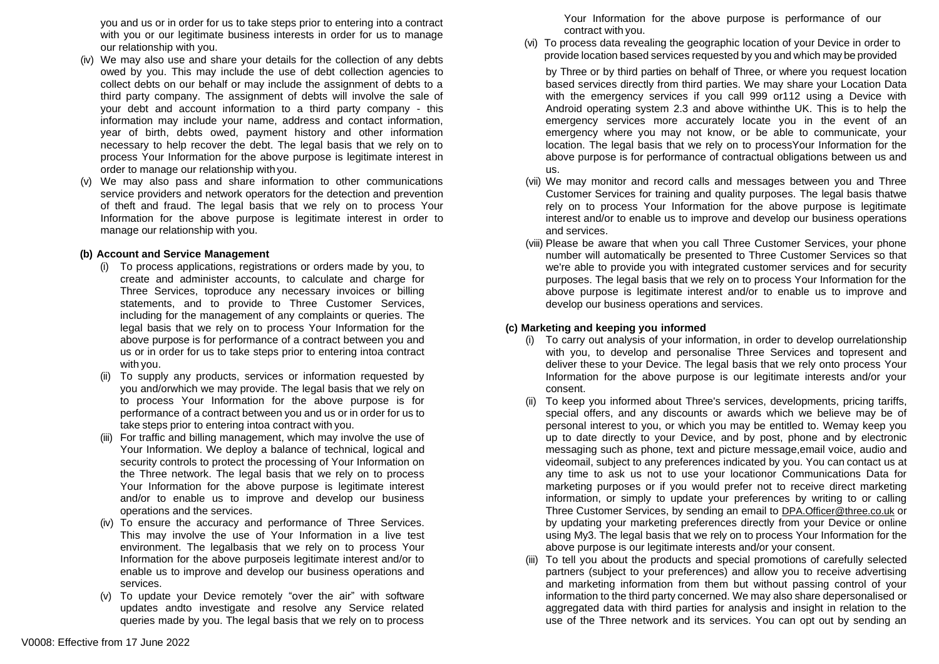you and us or in order for us to take steps prior to entering into a contract with you or our legitimate business interests in order for us to manage our relationship with you.

- (iv) We may also use and share your details for the collection of any debts owed by you. This may include the use of debt collection agencies to collect debts on our behalf or may include the assignment of debts to a third party company. The assignment of debts will involve the sale of your debt and account information to a third party company - this information may include your name, address and contact information, year of birth, debts owed, payment history and other information necessary to help recover the debt. The legal basis that we rely on to process Your Information for the above purpose is legitimate interest in order to manage our relationship with you.
- (v) We may also pass and share information to other communications service providers and network operators for the detection and prevention of theft and fraud. The legal basis that we rely on to process Your Information for the above purpose is legitimate interest in order to manage our relationship with you.

#### **(b) Account and Service Management**

- (i) To process applications, registrations or orders made by you, to create and administer accounts, to calculate and charge for Three Services, toproduce any necessary invoices or billing statements, and to provide to Three Customer Services, including for the management of any complaints or queries. The legal basis that we rely on to process Your Information for the above purpose is for performance of a contract between you and us or in order for us to take steps prior to entering intoa contract with you.
- (ii) To supply any products, services or information requested by you and/orwhich we may provide. The legal basis that we rely on to process Your Information for the above purpose is for performance of a contract between you and us or in order for us to take steps prior to entering intoa contract with you.
- (iii) For traffic and billing management, which may involve the use of Your Information. We deploy a balance of technical, logical and security controls to protect the processing of Your Information on the Three network. The legal basis that we rely on to process Your Information for the above purpose is legitimate interest and/or to enable us to improve and develop our business operations and the services.
- (iv) To ensure the accuracy and performance of Three Services. This may involve the use of Your Information in a live test environment. The legalbasis that we rely on to process Your Information for the above purposeis legitimate interest and/or to enable us to improve and develop our business operations and services.
- (v) To update your Device remotely "over the air" with software updates andto investigate and resolve any Service related queries made by you. The legal basis that we rely on to process

Your Information for the above purpose is performance of our contract with you.

(vi) To process data revealing the geographic location of your Device in order to provide location based services requested by you and which may be provided

by Three or by third parties on behalf of Three, or where you request location based services directly from third parties. We may share your Location Data with the emergency services if you call 999 or112 using a Device with Android operating system 2.3 and above withinthe UK. This is to help the emergency services more accurately locate you in the event of an emergency where you may not know, or be able to communicate, your location. The legal basis that we rely on to processYour Information for the above purpose is for performance of contractual obligations between us and us.

- (vii) We may monitor and record calls and messages between you and Three Customer Services for training and quality purposes. The legal basis thatwe rely on to process Your Information for the above purpose is legitimate interest and/or to enable us to improve and develop our business operations and services.
- (viii) Please be aware that when you call Three Customer Services, your phone number will automatically be presented to Three Customer Services so that we're able to provide you with integrated customer services and for security purposes. The legal basis that we rely on to process Your Information for the above purpose is legitimate interest and/or to enable us to improve and develop our business operations and services.

## **(c) Marketing and keeping you informed**

- (i) To carry out analysis of your information, in order to develop ourrelationship with you, to develop and personalise Three Services and topresent and deliver these to your Device. The legal basis that we rely onto process Your Information for the above purpose is our legitimate interests and/or your consent.
- (ii) To keep you informed about Three's services, developments, pricing tariffs, special offers, and any discounts or awards which we believe may be of personal interest to you, or which you may be entitled to. Wemay keep you up to date directly to your Device, and by post, phone and by electronic messaging such as phone, text and picture message,email voice, audio and videomail, subject to any preferences indicated by you. You can contact us at any time to ask us not to use your locationor Communications Data for marketing purposes or if you would prefer not to receive direct marketing information, or simply to update your preferences by writing to or calling Three Customer Services, by sending an email to [DPA.Officer@three.co.uk](mailto:DPA.Officer@three.co.uk) or by updating your marketing preferences directly from your Device or online using My3. The legal basis that we rely on to process Your Information for the above purpose is our legitimate interests and/or your consent.
- (iii) To tell you about the products and special promotions of carefully selected partners (subject to your preferences) and allow you to receive advertising and marketing information from them but without passing control of your information to the third party concerned. We may also share depersonalised or aggregated data with third parties for analysis and insight in relation to the use of the Three network and its services. You can opt out by sending an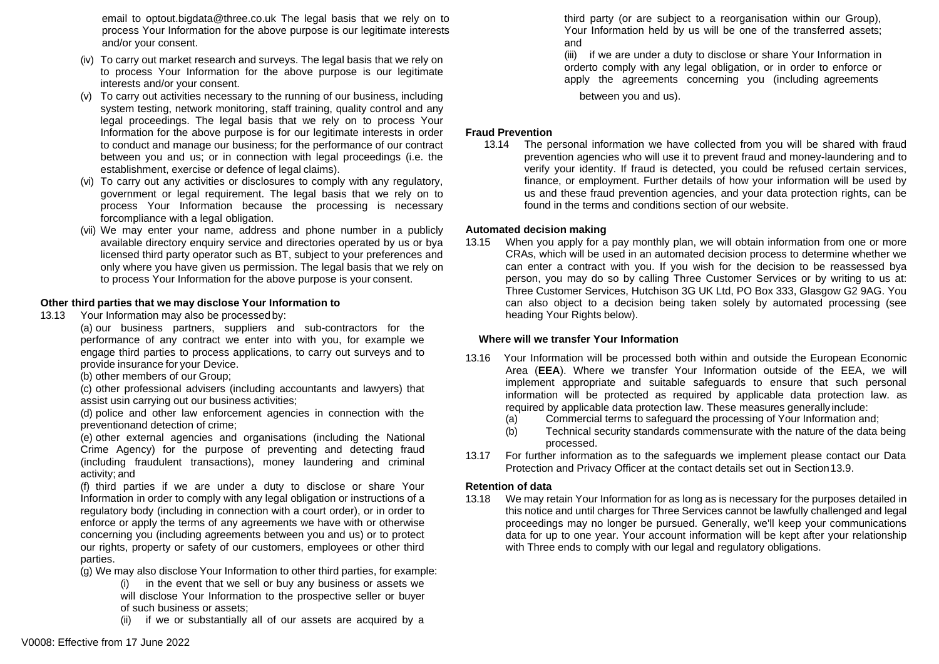email to [optout.bigdata@three.co.uk T](mailto:optout.bigdata@three.co.uk)he legal basis that we rely on to process Your Information for the above purpose is our legitimate interests and/or your consent.

- (iv) To carry out market research and surveys. The legal basis that we rely on to process Your Information for the above purpose is our legitimate interests and/or your consent.
- (v) To carry out activities necessary to the running of our business, including system testing, network monitoring, staff training, quality control and any legal proceedings. The legal basis that we rely on to process Your Information for the above purpose is for our legitimate interests in order to conduct and manage our business; for the performance of our contract between you and us; or in connection with legal proceedings (i.e. the establishment, exercise or defence of legal claims).
- (vi) To carry out any activities or disclosures to comply with any regulatory, government or legal requirement. The legal basis that we rely on to process Your Information because the processing is necessary forcompliance with a legal obligation.
- (vii) We may enter your name, address and phone number in a publicly available directory enquiry service and directories operated by us or bya licensed third party operator such as BT, subject to your preferences and only where you have given us permission. The legal basis that we rely on to process Your Information for the above purpose is your consent.

### **Other third parties that we may disclose Your Information to**

13.13 Your Information may also be processed by:

(a) our business partners, suppliers and sub-contractors for the performance of any contract we enter into with you, for example we engage third parties to process applications, to carry out surveys and to provide insurance for your Device.

(b) other members of our Group;

(c) other professional advisers (including accountants and lawyers) that assist usin carrying out our business activities;

(d) police and other law enforcement agencies in connection with the preventionand detection of crime;

(e) other external agencies and organisations (including the National Crime Agency) for the purpose of preventing and detecting fraud (including fraudulent transactions), money laundering and criminal activity; and

(f) third parties if we are under a duty to disclose or share Your Information in order to comply with any legal obligation or instructions of a regulatory body (including in connection with a court order), or in order to enforce or apply the terms of any agreements we have with or otherwise concerning you (including agreements between you and us) or to protect our rights, property or safety of our customers, employees or other third parties.

- (g) We may also disclose Your Information to other third parties, for example:
	- (i) in the event that we sell or buy any business or assets we will disclose Your Information to the prospective seller or buyer of such business or assets;
	- (ii) if we or substantially all of our assets are acquired by a

third party (or are subject to a reorganisation within our Group), Your Information held by us will be one of the transferred assets; and

(iii) if we are under a duty to disclose or share Your Information in orderto comply with any legal obligation, or in order to enforce or apply the agreements concerning you (including agreements

between you and us).

# **Fraud Prevention**

13.14 The personal information we have collected from you will be shared with fraud prevention agencies who will use it to prevent fraud and money-laundering and to verify your identity. If fraud is detected, you could be refused certain services, finance, or employment. Further details of how your information will be used by us and these fraud prevention agencies, and your data protection rights, can be found in th[e terms and conditions section](http://www.three.co.uk/terms-conditions/cifas-data-use-policy) of our [website.](http://www.three.co.uk/terms-conditions/cifas-data-use-policy)

### **Automated decision making**

13.15 When you apply for a pay monthly plan, we will obtain information from one or more CRAs, which will be used in an automated decision process to determine whether we can enter a contract with you. If you wish for the decision to be reassessed bya person, you may do so by calling Three Customer Services or by writing to us at: Three Customer Services, Hutchison 3G UK Ltd, PO Box 333, Glasgow G2 9AG. You can also object to a decision being taken solely by automated processing (see heading Your Rights below).

# **Where will we transfer Your Information**

- 13.16 Your Information will be processed both within and outside the European Economic Area (**EEA**). Where we transfer Your Information outside of the EEA, we will implement appropriate and suitable safeguards to ensure that such personal information will be protected as required by applicable data protection law. as required by applicable data protection law. These measures generally include:
	- (a) Commercial terms to safeguard the processing of Your Information and;
	- (b) Technical security standards commensurate with the nature of the data being processed.
- 13.17 For further information as to the safeguards we implement please contact our Data Protection and Privacy Officer at the contact details set out in Section13.9.

# **Retention of data**

13.18 We may retain Your Information for as long as is necessary for the purposes detailed in this notice and until charges for Three Services cannot be lawfully challenged and legal proceedings may no longer be pursued. Generally, we'll keep your communications data for up to one year. Your account information will be kept after your relationship with Three ends to comply with our legal and regulatory obligations.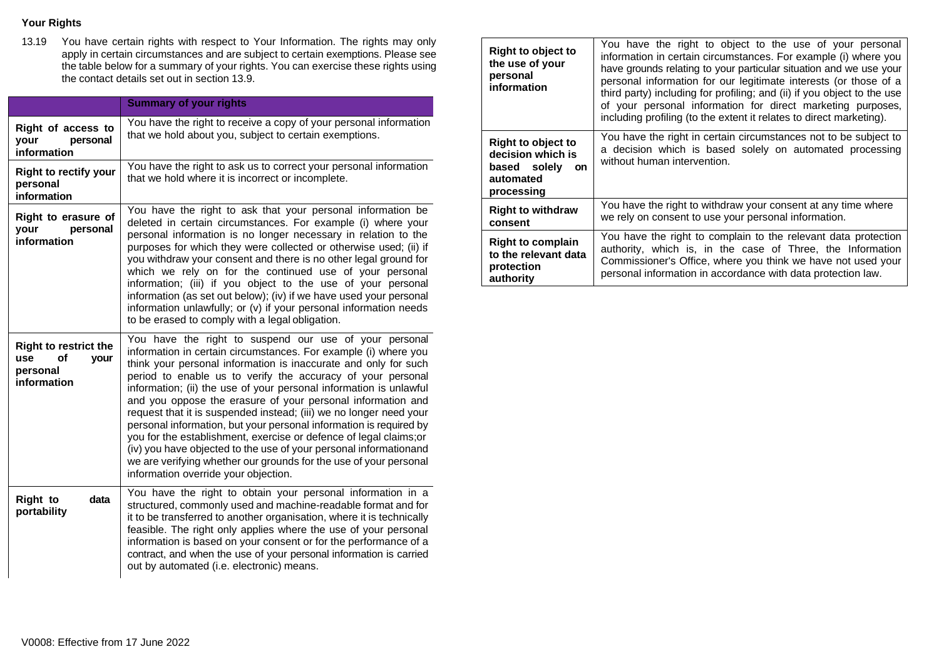# **Your Rights**

13.19 You have certain rights with respect to Your Information. The rights may only apply in certain circumstances and are subject to certain exemptions. Please see the table below for a summary of your rights. You can exercise these rights using the contact details set out in section 13.9.

|                                                                              | <b>Summary of your rights</b>                                                                                                                                                                                                                                                                                                                                                                                                                                                                                                                                                                                                                                                                                                                                                                        |
|------------------------------------------------------------------------------|------------------------------------------------------------------------------------------------------------------------------------------------------------------------------------------------------------------------------------------------------------------------------------------------------------------------------------------------------------------------------------------------------------------------------------------------------------------------------------------------------------------------------------------------------------------------------------------------------------------------------------------------------------------------------------------------------------------------------------------------------------------------------------------------------|
| Right of access to<br>personal<br>your<br>information                        | You have the right to receive a copy of your personal information<br>that we hold about you, subject to certain exemptions.                                                                                                                                                                                                                                                                                                                                                                                                                                                                                                                                                                                                                                                                          |
| <b>Right to rectify your</b><br>personal<br>information                      | You have the right to ask us to correct your personal information<br>that we hold where it is incorrect or incomplete.                                                                                                                                                                                                                                                                                                                                                                                                                                                                                                                                                                                                                                                                               |
| Right to erasure of<br>vour<br>personal<br>information                       | You have the right to ask that your personal information be<br>deleted in certain circumstances. For example (i) where your<br>personal information is no longer necessary in relation to the<br>purposes for which they were collected or otherwise used; (ii) if<br>you withdraw your consent and there is no other legal ground for<br>which we rely on for the continued use of your personal<br>information; (iii) if you object to the use of your personal<br>information (as set out below); (iv) if we have used your personal<br>information unlawfully; or (v) if your personal information needs<br>to be erased to comply with a legal obligation.                                                                                                                                      |
| <b>Right to restrict the</b><br>of<br>use<br>vour<br>personal<br>information | You have the right to suspend our use of your personal<br>information in certain circumstances. For example (i) where you<br>think your personal information is inaccurate and only for such<br>period to enable us to verify the accuracy of your personal<br>information; (ii) the use of your personal information is unlawful<br>and you oppose the erasure of your personal information and<br>request that it is suspended instead; (iii) we no longer need your<br>personal information, but your personal information is required by<br>you for the establishment, exercise or defence of legal claims; or<br>(iv) you have objected to the use of your personal informationand<br>we are verifying whether our grounds for the use of your personal<br>information override your objection. |
| <b>Right to</b><br>data<br>portability                                       | You have the right to obtain your personal information in a<br>structured, commonly used and machine-readable format and for<br>it to be transferred to another organisation, where it is technically<br>feasible. The right only applies where the use of your personal<br>information is based on your consent or for the performance of a<br>contract, and when the use of your personal information is carried<br>out by automated (i.e. electronic) means.                                                                                                                                                                                                                                                                                                                                      |

| <b>Right to object to</b><br>the use of your<br>personal<br>information                                | You have the right to object to the use of your personal<br>information in certain circumstances. For example (i) where you<br>have grounds relating to your particular situation and we use your<br>personal information for our legitimate interests (or those of a<br>third party) including for profiling; and (ii) if you object to the use<br>of your personal information for direct marketing purposes,<br>including profiling (to the extent it relates to direct marketing). |
|--------------------------------------------------------------------------------------------------------|----------------------------------------------------------------------------------------------------------------------------------------------------------------------------------------------------------------------------------------------------------------------------------------------------------------------------------------------------------------------------------------------------------------------------------------------------------------------------------------|
| <b>Right to object to</b><br>decision which is<br>based solely<br><b>on</b><br>automated<br>processing | You have the right in certain circumstances not to be subject to<br>a decision which is based solely on automated processing<br>without human intervention.                                                                                                                                                                                                                                                                                                                            |
| <b>Right to withdraw</b>                                                                               | You have the right to withdraw your consent at any time where                                                                                                                                                                                                                                                                                                                                                                                                                          |
| consent                                                                                                | we rely on consent to use your personal information.                                                                                                                                                                                                                                                                                                                                                                                                                                   |
| <b>Right to complain</b>                                                                               | You have the right to complain to the relevant data protection                                                                                                                                                                                                                                                                                                                                                                                                                         |
| to the relevant data                                                                                   | authority, which is, in the case of Three, the Information                                                                                                                                                                                                                                                                                                                                                                                                                             |
| protection                                                                                             | Commissioner's Office, where you think we have not used your                                                                                                                                                                                                                                                                                                                                                                                                                           |
| authority                                                                                              | personal information in accordance with data protection law.                                                                                                                                                                                                                                                                                                                                                                                                                           |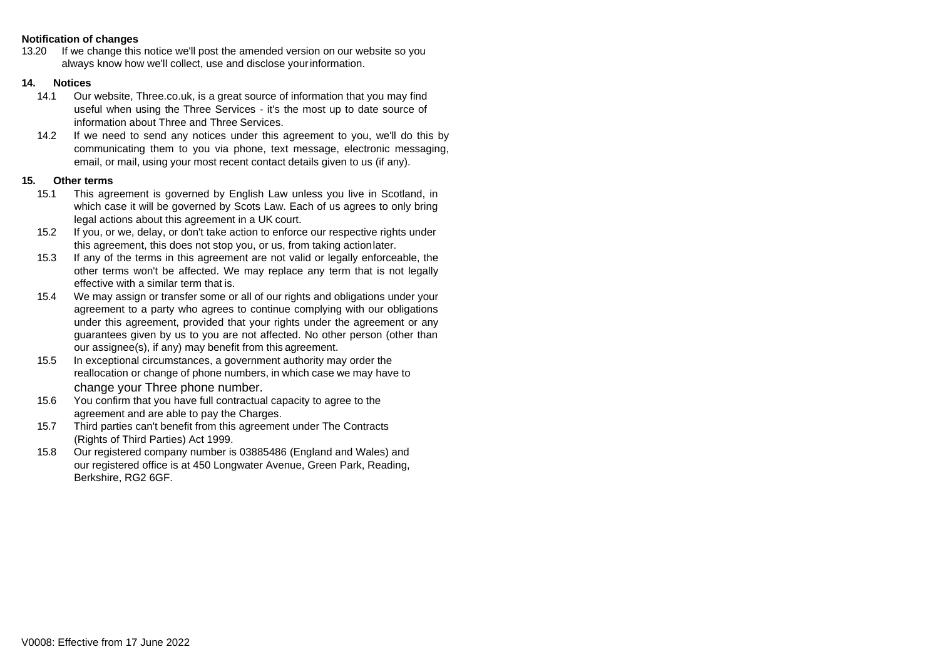#### **Notification of changes**

13.20 If we change this notice we'll post the amended version on our website so you always know how we'll collect, use and disclose yourinformation.

#### **14. Notices**

- 14.1 Our website, Three.co.uk, is a great source of information that you may find useful when using the Three Services - it's the most up to date source of information about Three and Three Services.
- 14.2 If we need to send any notices under this agreement to you, we'll do this by communicating them to you via phone, text message, electronic messaging, email, or mail, using your most recent contact details given to us (if any).

### **15. Other terms**

- 15.1 This agreement is governed by English Law unless you live in Scotland, in which case it will be governed by Scots Law. Each of us agrees to only bring legal actions about this agreement in a UK court.
- 15.2 If you, or we, delay, or don't take action to enforce our respective rights under this agreement, this does not stop you, or us, from taking actionlater.
- 15.3 If any of the terms in this agreement are not valid or legally enforceable, the other terms won't be affected. We may replace any term that is not legally effective with a similar term that is.
- 15.4 We may assign or transfer some or all of our rights and obligations under your agreement to a party who agrees to continue complying with our obligations under this agreement, provided that your rights under the agreement or any guarantees given by us to you are not affected. No other person (other than our assignee(s), if any) may benefit from this agreement.
- 15.5 In exceptional circumstances, a government authority may order the reallocation or change of phone numbers, in which case we may have to change your Three phone number.
- 15.6 You confirm that you have full contractual capacity to agree to the agreement and are able to pay the Charges.
- 15.7 Third parties can't benefit from this agreement under The Contracts (Rights of Third Parties) Act 1999.
- 15.8 Our registered company number is 03885486 (England and Wales) and our registered office is at 450 Longwater Avenue, Green Park, Reading, Berkshire, RG2 6GF.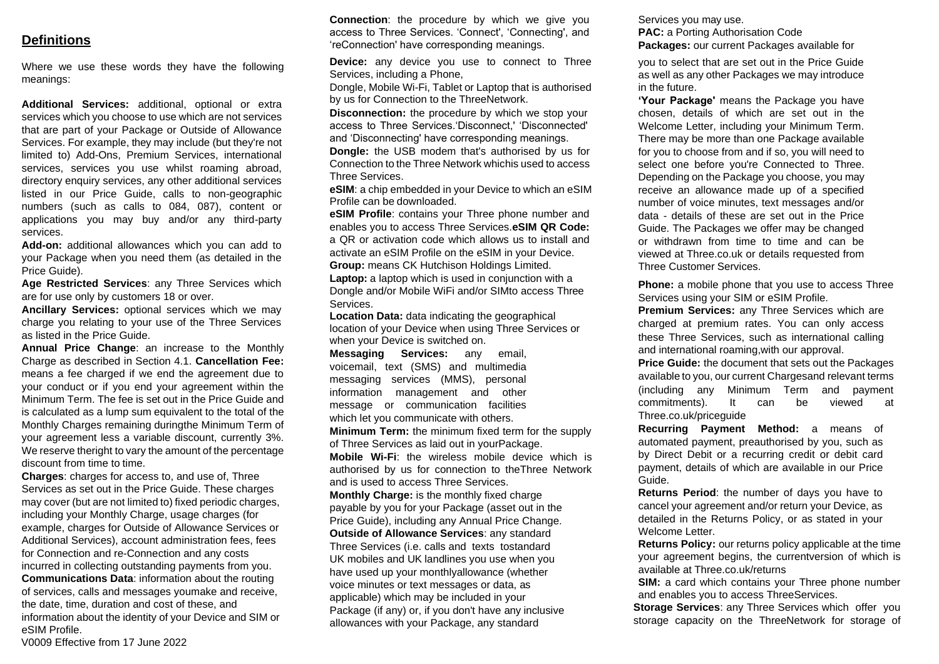# **Definitions**

Where we use these words they have the following meanings:

**Additional Services:** additional, optional or extra services which you choose to use which are not services that are part of your Package or Outside of Allowance Services. For example, they may include (but they're not limited to) Add-Ons, Premium Services, international services, services you use whilst roaming abroad, directory enquiry services, any other additional services listed in our Price Guide, calls to non-geographic numbers (such as calls to 084, 087), content or applications you may buy and/or any third-party services.

**Add-on:** additional allowances which you can add to your Package when you need them (as detailed in the Price Guide).

**Age Restricted Services**: any Three Services which are for use only by customers 18 or over.

**Ancillary Services:** optional services which we may charge you relating to your use of the Three Services as listed in the Price Guide.

**Annual Price Change**: an increase to the Monthly Charge as described in Section 4.1. **Cancellation Fee:**  means a fee charged if we end the agreement due to your conduct or if you end your agreement within the Minimum Term. The fee is set out in the Price Guide and is calculated as a lump sum equivalent to the total of the Monthly Charges remaining duringthe Minimum Term of your agreement less a variable discount, currently 3%. We reserve theright to vary the amount of the percentage discount from time to time.

**Charges**: charges for access to, and use of, Three Services as set out in the Price Guide. These charges may cover (but are not limited to) fixed periodic charges, including your Monthly Charge, usage charges (for example, charges for Outside of Allowance Services or Additional Services), account administration fees, fees for Connection and re-Connection and any costs incurred in collecting outstanding payments from you. **Communications Data**: information about the routing of services, calls and messages youmake and receive, the date, time, duration and cost of these, and information about the identity of your Device and SIM or eSIM Profile.

**Connection:** the procedure by which we give you access to Three Services. 'Connect', 'Connecting', and 'reConnection' have corresponding meanings.

**Device:** any device you use to connect to Three Services, including a Phone,

Dongle, Mobile Wi-Fi, Tablet or Laptop that is authorised by us for Connection to the ThreeNetwork.

**Disconnection:** the procedure by which we stop your access to Three Services.'Disconnect,' 'Disconnected' and 'Disconnecting' have corresponding meanings.

**Dongle:** the USB modem that's authorised by us for Connection to the Three Network whichis used to access Three Services.

**eSIM**: a chip embedded in your Device to which an eSIM Profile can be downloaded.

**eSIM Profile**: contains your Three phone number and enables you to access Three Services.**eSIM QR Code:**  a QR or activation code which allows us to install and activate an eSIM Profile on the eSIM in your Device. **Group:** means CK Hutchison Holdings Limited.

Laptop: a laptop which is used in conjunction with a Dongle and/or Mobile WiFi and/or SIMto access Three Services.

**Location Data:** data indicating the geographical location of your Device when using Three Services or when your Device is switched on.

**Messaging Services:** any email, voicemail, text (SMS) and multimedia messaging services (MMS), personal information management and other message or communication facilities which let you communicate with others.

**Minimum Term:** the minimum fixed term for the supply of Three Services as laid out in yourPackage.

**Mobile Wi-Fi**: the wireless mobile device which is authorised by us for connection to theThree Network and is used to access Three Services.

**Monthly Charge:** is the monthly fixed charge payable by you for your Package (asset out in the

Price Guide), including any Annual Price Change.

**Outside of Allowance Services**: any standard

Three Services (i.e. calls and texts tostandard UK mobiles and UK landlines you use when you have used up your monthlyallowance (whether voice minutes or text messages or data, as applicable) which may be included in your Package (if any) or, if you don't have any inclusive allowances with your Package, any standard

Services you may use. **PAC:** a Porting Authorisation Code **Packages:** our current Packages available for

you to select that are set out in the Price Guide as well as any other Packages we may introduce in the future.

**'Your Package'** means the Package you have chosen, details of which are set out in the Welcome Letter, including your Minimum Term. There may be more than one Package available for you to choose from and if so, you will need to select one before you're Connected to Three. Depending on the Package you choose, you may receive an allowance made up of a specified number of voice minutes, text messages and/or data - details of these are set out in the Price Guide. The Packages we offer may be changed or withdrawn from time to time and can be viewed at Three.co.uk or details requested from Three Customer Services.

**Phone:** a mobile phone that you use to access Three Services using your SIM or eSIM Profile.

**Premium Services:** any Three Services which are charged at premium rates. You can only access these Three Services, such as international calling and international roaming,with our approval.

**Price Guide:** the document that sets out the Packages available to you, our current Chargesand relevant terms (including any Minimum Term and payment commitments). It can be viewed at Three.co.uk/priceguide

**Recurring Payment Method:** a means of automated payment, preauthorised by you, such as by Direct Debit or a recurring credit or debit card payment, details of which are available in our Price Guide.

**Returns Period**: the number of days you have to cancel your agreement and/or return your Device, as detailed in the Returns Policy, or as stated in your Welcome Letter.

**Returns Policy:** our returns policy applicable at the time your agreement begins, the currentversion of which is available at Three.co.uk/returns

**SIM:** a card which contains your Three phone number and enables you to access ThreeServices.

**Storage Services**: any Three Services which offer you storage capacity on the ThreeNetwork for storage of

V0009 Effective from 17 June 2022